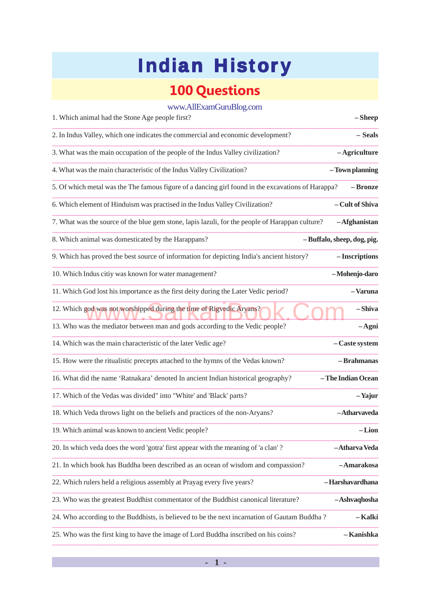## **100 Questions**

| www.AllExamGuruBlog.com |  |  |  |
|-------------------------|--|--|--|
|-------------------------|--|--|--|

| 1. Which animal had the Stone Age people first?                                                    | $-Sheep$                   |
|----------------------------------------------------------------------------------------------------|----------------------------|
| 2. In Indus Valley, which one indicates the commercial and economic development?                   | – Seals                    |
| 3. What was the main occupation of the people of the Indus Valley civilization?                    | -Agriculture               |
| 4. What was the main characteristic of the Indus Valley Civilization?                              | -Town planning             |
| 5. Of which metal was the The famous figure of a dancing girl found in the excavations of Harappa? | – Bronze                   |
| 6. Which element of Hinduism was practised in the Indus Valley Civilization?                       | - Cult of Shiva            |
| 7. What was the source of the blue gem stone, lapis lazuli, for the people of Harappan culture?    | $-Afghanistan$             |
| 8. Which animal was domesticated by the Harappans?                                                 | -Buffalo, sheep, dog, pig. |
| 9. Which has proved the best source of information for depicting India's ancient history?          | - Inscriptions             |
| 10. Which Indus citiy was known for water management?                                              | -Mohenjo-daro              |
| 11. Which God lost his importance as the first deity during the Later Vedic period?                | -Varuna                    |
| 12. Which god was not worshipped during the time of Rigvedic Aryans?                               | -Shiva                     |
| 13. Who was the mediator between man and gods according to the Vedic people?                       | $-A$ gni                   |
| 14. Which was the main characteristic of the later Vedic age?                                      | - Caste system             |
| 15. How were the ritualistic precepts attached to the hymns of the Vedas known?                    | - Brahmanas                |
| 16. What did the name 'Ratnakara' denoted In ancient Indian historical geography?                  | -The Indian Ocean          |
| 17. Which of the Vedas was divided" into "White' and 'Black' parts?                                | -Yajur                     |
| 18. Which Veda throws light on the beliefs and practices of the non-Aryans?                        | -Atharvaveda               |
| 19. Which animal was known to ancient Vedic people?                                                | $-Lion$                    |
| 20. In which veda does the word 'gotra' first appear with the meaning of 'a clan'?                 | -Atharva Veda              |
| 21. In which book has Buddha been described as an ocean of wisdom and compassion?                  | -Amarakosa                 |
| 22. Which rulers held a religious assembly at Prayag every five years?                             | -Harshavardhana            |
| 23. Who was the greatest Buddhist commentator of the Buddhist canonical literature?                | -Ashvaqhosha               |
| 24. Who according to the Buddhists, is believed to be the next incarnation of Gautam Buddha?       | – Kalki                    |
| 25. Who was the first king to have the image of Lord Buddha inscribed on his coins?                | - Kanishka                 |

 $-1-$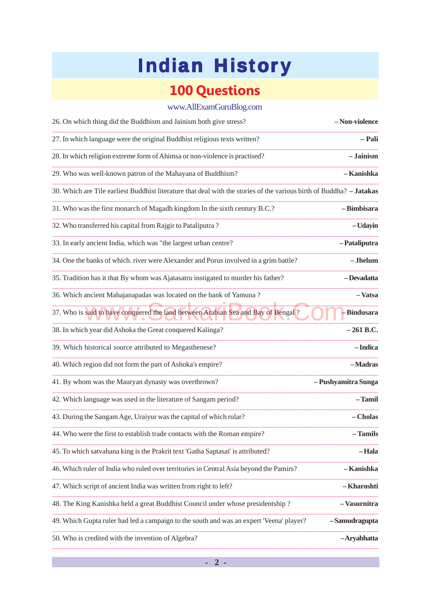## **100 Questions**

### www.AllExamGuruBlog.com

| 26. On which thing did the Buddhism and Jainism both give stress?                                                    | -Non-violence       |
|----------------------------------------------------------------------------------------------------------------------|---------------------|
| 27. In which language were the original Buddhist religious texts written?                                            | – Pali              |
| 28. In which religion extreme form of Ahimsa or non-violence is practised?                                           | – Jainism           |
| 29. Who was well-known patron of the Mahayana of Buddhism?                                                           | – Kanishka          |
| 30. Which are Tile earliest Buddhist literature that deal with the stories of the various birth of Buddha? - Jatakas |                     |
| 31. Who was the first monarch of Magadh kingdom In the sixth century B.C.?                                           | -Bimbisara          |
| 32. Who transferred his capital from Rajgir to Pataliputra?                                                          | -Udayin             |
| 33. In early ancient India, which was "the largest urban centre?                                                     | -Pataliputra        |
| 34. One the banks of which. river were Alexander and Porus involved in a grim battle?                                | $-Jhelum$           |
| 35. Tradition has it that By whom was Ajatasatru instigated to murder his father?                                    | -Devadatta          |
| 36. Which ancient Mahajanapadas was located on the bank of Yamuna?                                                   | -Vatsa              |
| 37. Who is said to have conquered the land between Arabian Sea and Bay of Bengal?                                    | - Bindusara         |
| 38. In which year did Ashoka the Great conquered Kalinga?                                                            | – 261 B.C.          |
| 39. Which historical source attributed to Megasthenese?                                                              | - Indica            |
| 40. Which region did not form the part of Ashoka's empire?                                                           | -Madras             |
| 41. By whom was the Mauryan dynasty was overthrown?                                                                  | - Pushyamitra Sunga |
| 42. Which language was used in the literature of Sangam period?                                                      | – Tamil             |
| 43. During the Sangam Age, Uraiyur was the capital of which rular?                                                   | - Cholas            |
| 44. Who were the first to establish trade contacts with the Roman empire?                                            | - Tamils            |
| 45. To which satvahana king is the Prakrit text 'Gatha Saptasai' is attributed?                                      | – Hala              |
| 46. Which ruler of India who ruled over territories in Central Asia beyond the Pamirs?                               | – Kanishka          |
| 47. Which script of ancient India was written from right to left?                                                    | – Kharoshti         |
| 48. The King Kanishka held a great Buddhist Council under whose presidentship?                                       | – Vasurnitra        |
| 49. Which Gupta ruler had led a campaign to the south and was an expert 'Veena' player? - Samudragupta               |                     |
| 50. Who is credited with the invention of Algebra?                                                                   | -Aryabhatta         |

 $-2-$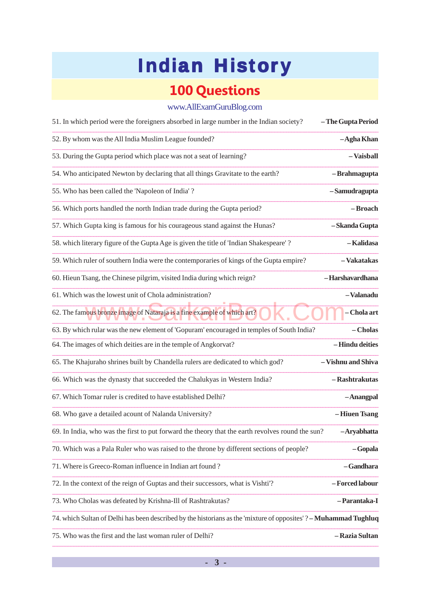### **100 Questions**

### www.AllExamGuruBlog.com

| 51. In which period were the foreigners absorbed in large number in the Indian society?                          | -The Gupta Period  |
|------------------------------------------------------------------------------------------------------------------|--------------------|
| 52. By whom was the All India Muslim League founded?                                                             | -Agha Khan         |
| 53. During the Gupta period which place was not a seat of learning?                                              | -Vaisball          |
| 54. Who anticipated Newton by declaring that all things Gravitate to the earth?                                  | -Brahmagupta       |
| 55. Who has been called the 'Napoleon of India'?                                                                 | -Samudragupta      |
| 56. Which ports handled the north Indian trade during the Gupta period?                                          | -Broach            |
| 57. Which Gupta king is famous for his courageous stand against the Hunas?                                       | -Skanda Gupta      |
| 58. which literary figure of the Gupta Age is given the title of 'Indian Shakespeare'?                           | -Kalidasa          |
| 59. Which ruler of southern India were the contemporaries of kings of the Gupta empire?                          | -Vakatakas         |
| 60. Hieun Tsang, the Chinese pilgrim, visited India during which reign?                                          | -Harshavardhana    |
| 61. Which was the lowest unit of Chola administration?                                                           | -Valanadu          |
| 62. The famous bronze image of Nataraja is a fine example of which art?                                          | – Chola art        |
| 63. By which rular was the new element of 'Gopuram' encouraged in temples of South India?                        | – Cholas           |
| 64. The images of which deities are in the temple of Angkorvat?                                                  | -Hindu deities     |
| 65. The Khajuraho shrines built by Chandella rulers are dedicated to which god?                                  | - Vishnu and Shiva |
| 66. Which was the dynasty that succeeded the Chalukyas in Western India?                                         | - Rashtrakutas     |
| 67. Which Tomar ruler is credited to have established Delhi?                                                     | -Anangpal          |
| 68. Who gave a detailed acount of Nalanda University?                                                            | -Hiuen Tsang       |
| 69. In India, who was the first to put forward the theory that the earth revolves round the sun?                 | -Aryabhatta        |
| 70. Which was a Pala Ruler who was raised to the throne by different sections of people?                         | $-Gopala$          |
| 71. Where is Greeco-Roman influence in Indian art found?                                                         | – Gandhara         |
| 72. In the context of the reign of Guptas and their successors, what is Vishti'?                                 | -Forced labour     |
| 73. Who Cholas was defeated by Krishna-Ill of Rashtrakutas?                                                      | – Parantaka-I      |
| 74. which Sultan of Delhi has been described by the historians as the 'mixture of opposites'? - Muhammad Tughluq |                    |
| 75. Who was the first and the last woman ruler of Delhi?                                                         | – Razia Sultan     |

 $-3-$